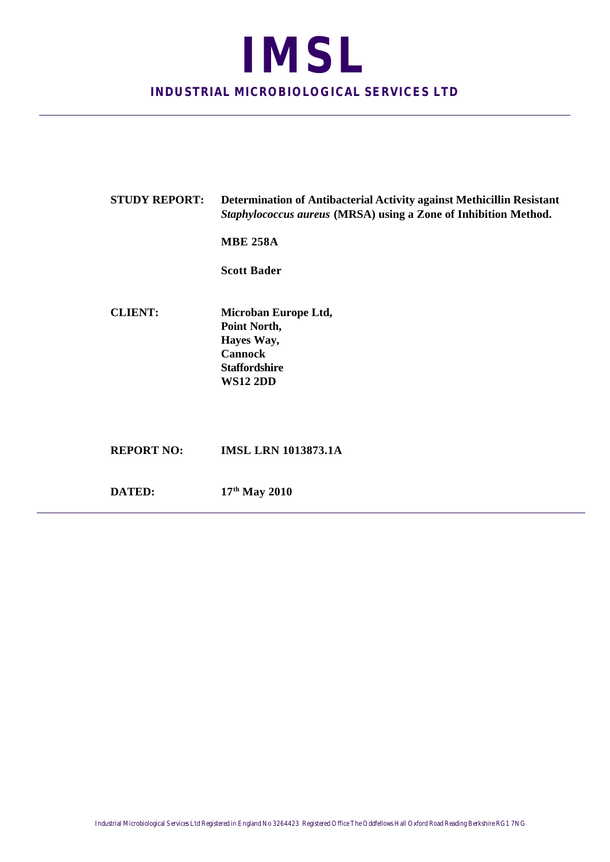# **IMSL**

## **INDUSTRIAL MICROBIOLOGICAL SERVICES LTD**

| <b>STUDY REPORT:</b> | Determination of Antibacterial Activity against Methicillin Resistant<br><b>Staphylococcus aureus (MRSA) using a Zone of Inhibition Method.</b><br><b>MBE 258A</b><br><b>Scott Bader</b> |
|----------------------|------------------------------------------------------------------------------------------------------------------------------------------------------------------------------------------|
| <b>CLIENT:</b>       | Microban Europe Ltd,<br>Point North,<br>Hayes Way,<br><b>Cannock</b><br><b>Staffordshire</b><br><b>WS12 2DD</b>                                                                          |
| <b>REPORT NO:</b>    | <b>IMSL LRN 1013873.1A</b>                                                                                                                                                               |
| <b>DATED:</b>        | $17th$ May 2010                                                                                                                                                                          |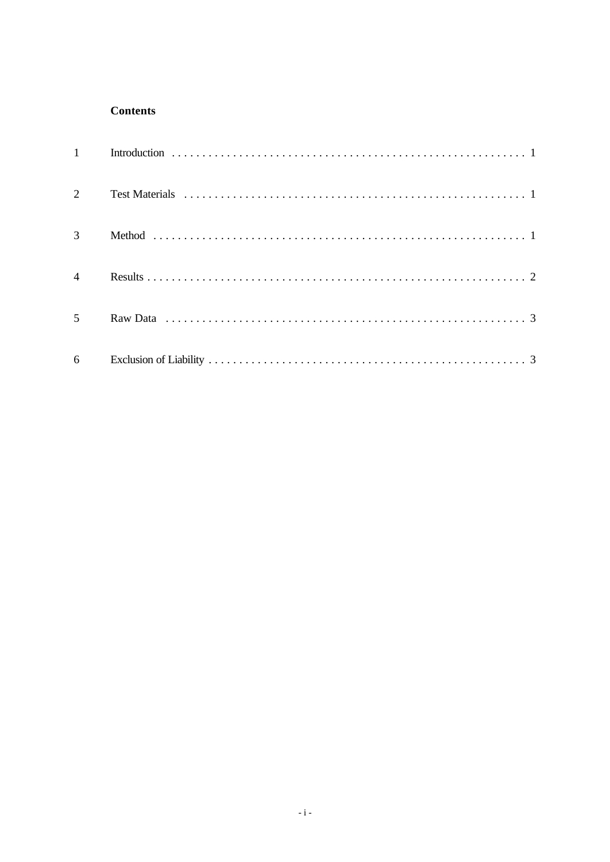## **Contents**

| $\overline{2}$ |  |
|----------------|--|
| $\overline{3}$ |  |
|                |  |
| 5 <sup>5</sup> |  |
| 6              |  |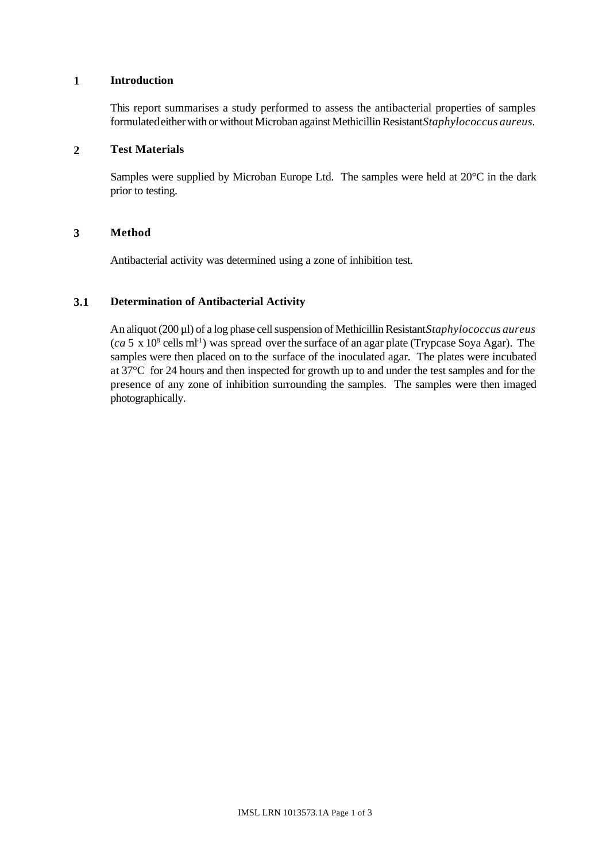#### **1 Introduction**

This report summarises a study performed to assess the antibacterial properties of samples formulated either with or without Microban against Methicillin Resistant *Staphylococcus aureus.*

#### **2 Test Materials**

Samples were supplied by Microban Europe Ltd. The samples were held at 20°C in the dark prior to testing.

#### **3 Method**

Antibacterial activity was determined using a zone of inhibition test.

## **3.1 Determination of Antibacterial Activity**

An aliquot (200 µl) of a log phase cell suspension of Methicillin Resistant *Staphylococcus aureus*  $(ca 5 x 10<sup>8</sup> cells m<sup>1</sup>) was spread over the surface of an agar plate (Trypcase Soya Agar). The$ samples were then placed on to the surface of the inoculated agar. The plates were incubated at 37°C for 24 hours and then inspected for growth up to and under the test samples and for the presence of any zone of inhibition surrounding the samples. The samples were then imaged photographically.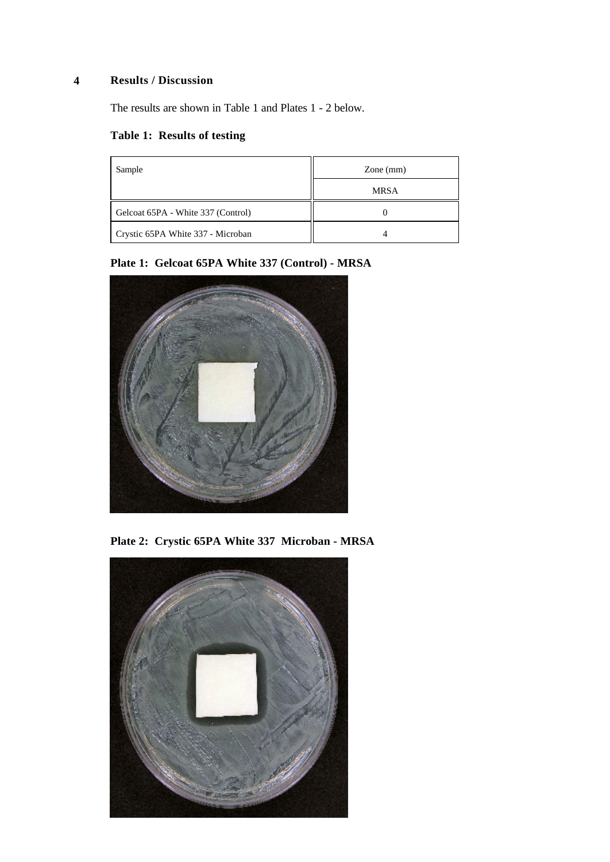## **4 Results / Discussion**

The results are shown in Table 1 and Plates 1 - 2 below.

## **Table 1: Results of testing**

| Sample                             | Zone $(mm)$ |
|------------------------------------|-------------|
|                                    | <b>MRSA</b> |
| Gelcoat 65PA - White 337 (Control) |             |
| Crystic 65PA White 337 - Microban  |             |

## **Plate 1: Gelcoat 65PA White 337 (Control) - MRSA**



**Plate 2: Crystic 65PA White 337 Microban - MRSA**